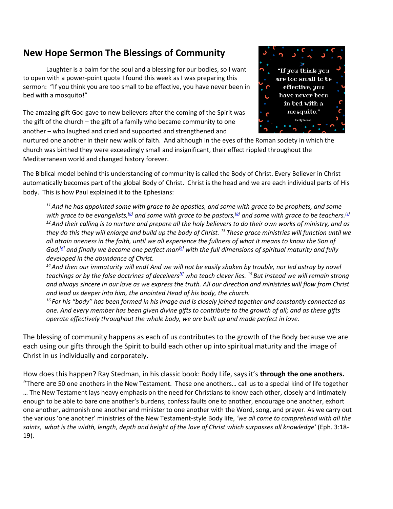## **New Hope Sermon The Blessings of Community**

Laughter is a balm for the soul and a blessing for our bodies, so I want to open with a power-point quote I found this week as I was preparing this sermon: "If you think you are too small to be effective, you have never been in bed with a mosquito!"

The amazing gift God gave to new believers after the coming of the Spirit was the gift of the church – the gift of a family who became community to one another – who laughed and cried and supported and strengthened and



nurtured one another in their new walk of faith. And although in the eyes of the Roman society in which the church was birthed they were exceedingly small and insignificant, their effect rippled throughout the Mediterranean world and changed history forever.

The Biblical model behind this understanding of community is called the Body of Christ. Every Believer in Christ automatically becomes part of the global Body of Christ. Christ is the head and we are each individual parts of His body. This is how Paul explained it to the Ephesians:

*<sup>11</sup>And he has appointed some with grace to be apostles, and some with grace to be prophets, and some with grace to be evangelists,[\[a\]](https://www.biblegateway.com/passage/?search=Eph.4%3A11-16+&version=TPT#fen-TPT-10588a) and some with grace to be pastors,[\[b\]](https://www.biblegateway.com/passage/?search=Eph.4%3A11-16+&version=TPT#fen-TPT-10588b) and some with grace to be teachers.[\[c\]](https://www.biblegateway.com/passage/?search=Eph.4%3A11-16+&version=TPT#fen-TPT-10588c) <sup>12</sup>And their calling is to nurture and prepare all the holy believers to do their own works of ministry, and as they do this they will enlarge and build up the body of Christ. <sup>13</sup> These grace ministries will function until we all attain oneness in the faith, until we all experience the fullness of what it means to know the Son of God,[\[d\]](https://www.biblegateway.com/passage/?search=Eph.4%3A11-16+&version=TPT#fen-TPT-10590d) and finally we become one perfect man[\[e\]](https://www.biblegateway.com/passage/?search=Eph.4%3A11-16+&version=TPT#fen-TPT-10590e) with the full dimensions of spiritual maturity and fully developed in the abundance of Christ.*

*<sup>14</sup>And then our immaturity will end! And we will not be easily shaken by trouble, nor led astray by novel teachings or by the false doctrines of deceivers[\[f\]](https://www.biblegateway.com/passage/?search=Eph.4%3A11-16+&version=TPT#fen-TPT-10591f) who teach clever lies. <sup>15</sup> But instead we will remain strong and always sincere in our love as we express the truth. All our direction and ministries will flow from Christ and lead us deeper into him, the anointed Head of his body, the church.*

*<sup>16</sup> For his "body" has been formed in his image and is closely joined together and constantly connected as one. And every member has been given divine gifts to contribute to the growth of all; and as these gifts operate effectively throughout the whole body, we are built up and made perfect in love.*

The blessing of community happens as each of us contributes to the growth of the Body because we are each using our gifts through the Spirit to build each other up into spiritual maturity and the image of Christ in us individually and corporately.

How does this happen? Ray Stedman, in his classic book: Body Life, says it's **through the one anothers.**

"There are 50 one anothers in the New Testament. These one anothers… call us to a special kind of life together … The New Testament lays heavy emphasis on the need for Christians to know each other, closely and intimately enough to be able to bare one another's burdens, confess faults one to another, encourage one another, exhort one another, admonish one another and minister to one another with the Word, song, and prayer. As we carry out the various 'one another' ministries of the New Testament-style Body life, *'we all come to comprehend with all the saints, what is the width, length, depth and height of the love of Christ which surpasses all knowledge'* (Eph. 3:18- 19).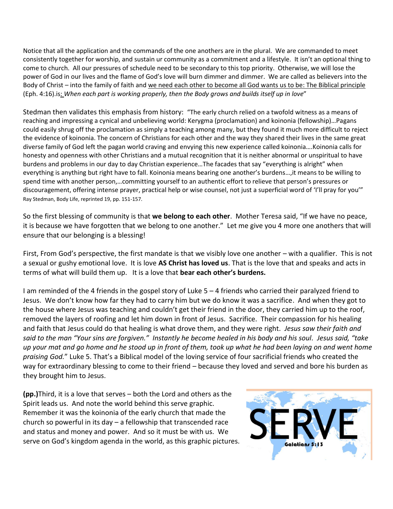Notice that all the application and the commands of the one anothers are in the plural. We are commanded to meet consistently together for worship, and sustain ur community as a commitment and a lifestyle. It isn't an optional thing to come to church. All our pressures of schedule need to be secondary to this top priority. Otherwise, we will lose the power of God in our lives and the flame of God's love will burn dimmer and dimmer. We are called as believers into the Body of Christ – into the family of faith and we need each other to become all God wants us to be: The Biblical principle (Eph. 4:16).is: *When each part is working properly, then the Body grows and builds itself up in love*"

Stedman then validates this emphasis from history: "The early church relied on a twofold witness as a means of reaching and impressing a cynical and unbelieving world: Kerygma (proclamation) and koinonia (fellowship)…Pagans could easily shrug off the proclamation as simply a teaching among many, but they found it much more difficult to reject the evidence of koinonia. The concern of Christians for each other and the way they shared their lives in the same great diverse family of God left the pagan world craving and envying this new experience called koinonia….Koinonia calls for honesty and openness with other Christians and a mutual recognition that it is neither abnormal or unspiritual to have burdens and problems in our day to day Christian experience…The facades that say "everything is alright" when everything is anything but right have to fall. Koinonia means bearing one another's burdens…,it means to be willing to spend time with another person,…committing yourself to an authentic effort to relieve that person's pressures or discouragement, offering intense prayer, practical help or wise counsel, not just a superficial word of 'I'll pray for you'" Ray Stedman, Body Life, reprinted 19, pp. 151-157.

So the first blessing of community is that **we belong to each other**. Mother Teresa said, "If we have no peace, it is because we have forgotten that we belong to one another." Let me give you 4 more one anothers that will ensure that our belonging is a blessing!

First, From God's perspective, the first mandate is that we visibly love one another – with a qualifier. This is not a sexual or gushy emotional love. It is love **AS Christ has loved us**. That is the love that and speaks and acts in terms of what will build them up. It is a love that **bear each other's burdens.** 

I am reminded of the 4 friends in the gospel story of Luke 5 – 4 friends who carried their paralyzed friend to Jesus. We don't know how far they had to carry him but we do know it was a sacrifice. And when they got to the house where Jesus was teaching and couldn't get their friend in the door, they carried him up to the roof, removed the layers of roofing and let him down in front of Jesus. Sacrifice. Their compassion for his healing and faith that Jesus could do that healing is what drove them, and they were right. *Jesus saw their faith and said to the man "Your sins are forgiven." Instantly he become healed in his body and his soul. Jesus said, "take up your mat and go home and he stood up in front of them, took up what he had been laying on and went home praising God.*" Luke 5. That's a Biblical model of the loving service of four sacrificial friends who created the way for extraordinary blessing to come to their friend – because they loved and served and bore his burden as they brought him to Jesus.

**(pp.)**Third, it is a love that serves – both the Lord and others as the Spirit leads us. And note the world behind this serve graphic. Remember it was the koinonia of the early church that made the church so powerful in its day – a fellowship that transcended race and status and money and power. And so it must be with us. We serve on God's kingdom agenda in the world, as this graphic pictures.

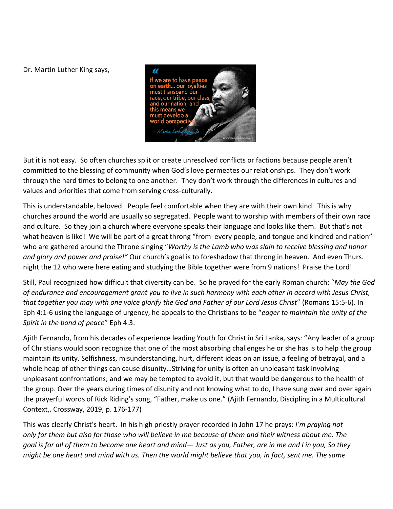Dr. Martin Luther King says,



But it is not easy. So often churches split or create unresolved conflicts or factions because people aren't committed to the blessing of community when God's love permeates our relationships. They don't work through the hard times to belong to one another. They don't work through the differences in cultures and values and priorities that come from serving cross-culturally.

This is understandable, beloved. People feel comfortable when they are with their own kind. This is why churches around the world are usually so segregated. People want to worship with members of their own race and culture. So they join a church where everyone speaks their language and looks like them. But that's not what heaven is like! We will be part of a great throng "from every people, and tongue and kindred and nation" who are gathered around the Throne singing "*Worthy is the Lamb who was slain to receive blessing and honor and glory and power and praise!"* Our church's goal is to foreshadow that throng in heaven. And even Thurs. night the 12 who were here eating and studying the Bible together were from 9 nations! Praise the Lord!

Still, Paul recognized how difficult that diversity can be. So he prayed for the early Roman church: "*May the God of endurance and encouragement grant you to live in such harmony with each other in accord with Jesus Christ, that together you may with one voice glorify the God and Father of our Lord Jesus Christ*" (Romans 15:5-6). In Eph 4:1-6 using the language of urgency, he appeals to the Christians to be "*eager to maintain the unity of the Spirit in the bond of peace*" Eph 4:3.

Ajith Fernando, from his decades of experience leading Youth for Christ in Sri Lanka, says: "Any leader of a group of Christians would soon recognize that one of the most absorbing challenges he or she has is to help the group maintain its unity. Selfishness, misunderstanding, hurt, different ideas on an issue, a feeling of betrayal, and a whole heap of other things can cause disunity…Striving for unity is often an unpleasant task involving unpleasant confrontations; and we may be tempted to avoid it, but that would be dangerous to the health of the group. Over the years during times of disunity and not knowing what to do, I have sung over and over again the prayerful words of Rick Riding's song, "Father, make us one." (Ajith Fernando, Discipling in a Multicultural Context,. Crossway, 2019, p. 176-177)

This was clearly Christ's heart. In his high priestly prayer recorded in John 17 he prays: *I'm praying not only for them but also for those who will believe in me because of them and their witness about me. The goal is for all of them to become one heart and mind— Just as you, Father, are in me and I in you, So they might be one heart and mind with us. Then the world might believe that you, in fact, sent me. The same*